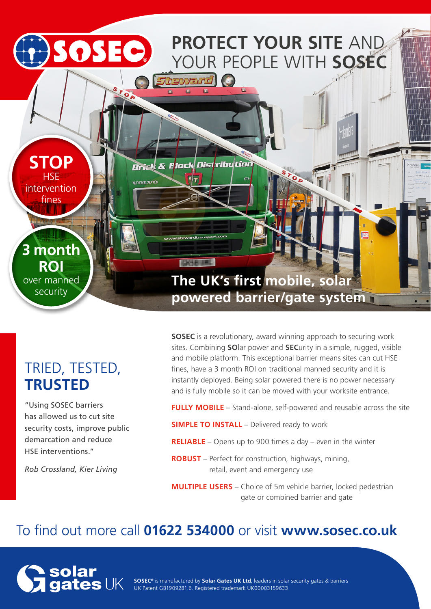

# TRIED, TESTED, **TRUSTED**

"Using SOSEC barriers has allowed us to cut site security costs, improve public demarcation and reduce HSE interventions."

*Rob Crossland, Kier Living* 

**SOSEC** is a revolutionary, award winning approach to securing work sites. Combining **SO**lar power and **SEC**urity in a simple, rugged, visible and mobile platform. This exceptional barrier means sites can cut HSE fines, have a 3 month ROI on traditional manned security and it is instantly deployed. Being solar powered there is no power necessary and is fully mobile so it can be moved with your worksite entrance.

**FULLY MOBILE** – Stand-alone, self-powered and reusable across the site

- **SIMPLE TO INSTALL** Delivered ready to work
- **RELIABLE** Opens up to 900 times a day even in the winter
- **ROBUST** Perfect for construction, highways, mining, retail, event and emergency use
- **MULTIPLE USERS** Choice of 5m vehicle barrier, locked pedestrian gate or combined barrier and gate

## To find out more call **01622 534000** or visit **www.sosec.co.uk**



**SOSEC®** is manufactured by **Solar Gates UK Ltd**, leaders in solar security gates & barriers UK Patent GB1909281.6. Registered trademark UK00003159633